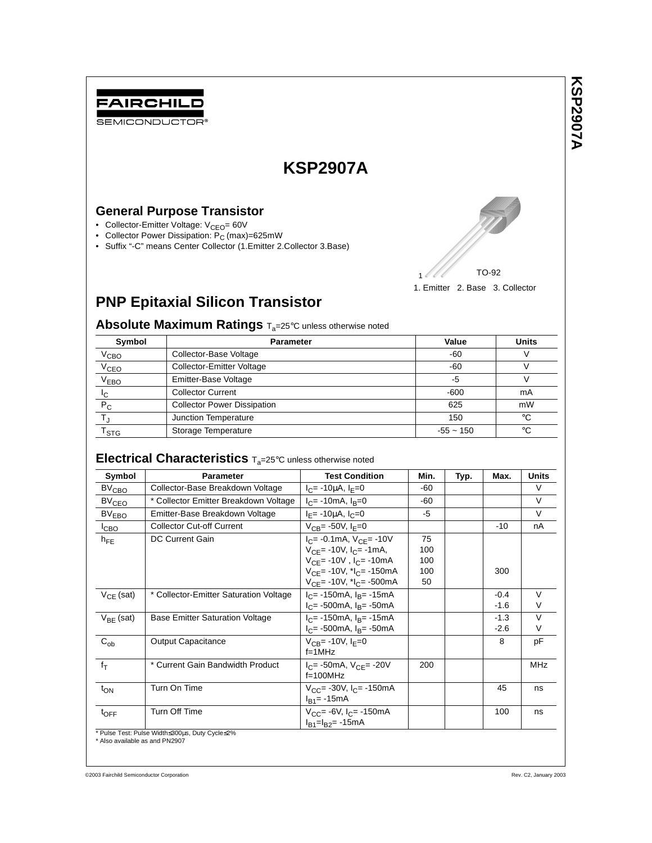

SEMICONDUCTOR<sup>®</sup>

# **KSP2907A**

# **General Purpose Transistor**

- Collector-Emitter Voltage: V<sub>CEO</sub>= 60V
- Collector Power Dissipation: P<sub>C</sub> (max)=625mW
- Suffix "-C" means Center Collector (1.Emitter 2.Collector 3.Base)



**KSP2907A**

**KSP2907A** 

# **PNP Epitaxial Silicon Transistor**

**Absolute Maximum Ratings T<sub>a</sub>=25°C unless otherwise noted** 

| Symbol           | <b>Parameter</b>                   | Value       | <b>Units</b> |
|------------------|------------------------------------|-------------|--------------|
| V <sub>CBO</sub> | Collector-Base Voltage             | -60         |              |
| V <sub>CEO</sub> | <b>Collector-Emitter Voltage</b>   | $-60$       |              |
| V <sub>EBO</sub> | Emitter-Base Voltage               | -5          |              |
| Iс               | <b>Collector Current</b>           | $-600$      | mA           |
| $P_{C}$          | <b>Collector Power Dissipation</b> | 625         | mW           |
|                  | Junction Temperature               | 150         | $^{\circ}C$  |
| l stg            | Storage Temperature                | $-55 - 150$ | $^{\circ}C$  |

# **Electrical Characteristics** T<sub>a</sub>=25°C unless otherwise noted

| Symbol            | <b>Parameter</b>                       | <b>Test Condition</b>                                                                                                                                                             | Min.                          | Typ. | Max.             | <b>Units</b>     |
|-------------------|----------------------------------------|-----------------------------------------------------------------------------------------------------------------------------------------------------------------------------------|-------------------------------|------|------------------|------------------|
| $BV_{CBO}$        | Collector-Base Breakdown Voltage       | $I_C$ = -10µA, $I_F$ =0                                                                                                                                                           | -60                           |      |                  | $\vee$           |
| $BV_{CEQ}$        | * Collector Emitter Breakdown Voltage  | $I_C$ = -10mA, $I_B$ =0                                                                                                                                                           | -60                           |      |                  | $\vee$           |
| BV <sub>EBO</sub> | Emitter-Base Breakdown Voltage         | $I_F$ = -10µA, $I_C$ =0                                                                                                                                                           | -5                            |      |                  | $\vee$           |
| I <sub>CBO</sub>  | <b>Collector Cut-off Current</b>       | $V_{CB} = -50V, I_F = 0$                                                                                                                                                          |                               |      | $-10$            | nA               |
| $h_{FE}$          | <b>DC Current Gain</b>                 | $I_{C}$ = -0.1mA, $V_{CE}$ = -10V<br>$V_{CE}$ = -10V, $I_{C}$ = -1mA,<br>$V_{CE}$ = -10V, $I_C$ = -10mA<br>$V_{CF}$ = -10V, $t_{C}$ = -150mA<br>$V_{CF}$ = -10V, $I_{C}$ = -500mA | 75<br>100<br>100<br>100<br>50 |      | 300              |                  |
| $V_{CF}$ (sat)    | * Collector-Emitter Saturation Voltage | $I_C$ = -150mA, $I_B$ = -15mA<br>$I_C$ = -500mA, $I_B$ = -50mA                                                                                                                    |                               |      | $-0.4$<br>$-1.6$ | $\vee$<br>V      |
| $V_{BF}$ (sat)    | <b>Base Emitter Saturation Voltage</b> | $I_C$ = -150mA, $I_B$ = -15mA<br>$I_C$ = -500mA, $I_B$ = -50mA                                                                                                                    |                               |      | $-1.3$<br>$-2.6$ | $\vee$<br>$\vee$ |
| $C_{ob}$          | <b>Output Capacitance</b>              | $V_{CR}$ = -10V, $I_{E}$ =0<br>$f=1$ MHz                                                                                                                                          |                               |      | 8                | pF               |
| $f_T$             | * Current Gain Bandwidth Product       | $I_C$ = -50mA, $V_{C}$ = -20V<br>$f=100$ MHz                                                                                                                                      | 200                           |      |                  | <b>MHz</b>       |
| $t_{ON}$          | Turn On Time                           | $V_{CC}$ = -30V, $I_{C}$ = -150mA<br>$I_{B1} = -15mA$                                                                                                                             |                               |      | 45               | ns               |
| $t_{\text{OFF}}$  | Turn Off Time                          | $V_{CC}$ = -6V, I <sub>C</sub> = -150mA<br>$I_{B1} = I_{B2} = -15$ mA                                                                                                             |                               |      | 100              | ns               |

\* Also available as and PN2907

©2003 Fairchild Semiconductor Corporation Rev. C2, January 2003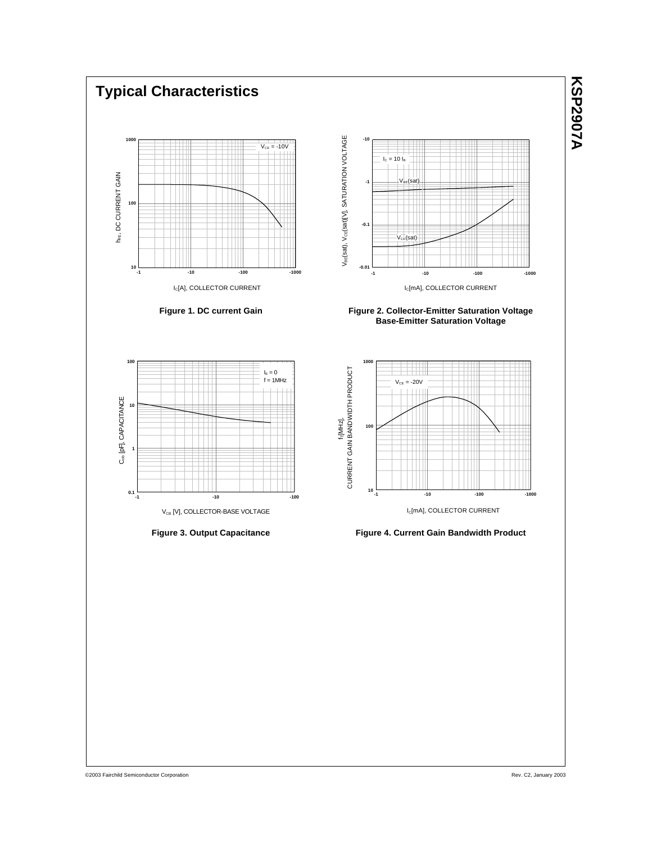

©2003 Fairchild Semiconductor Corporation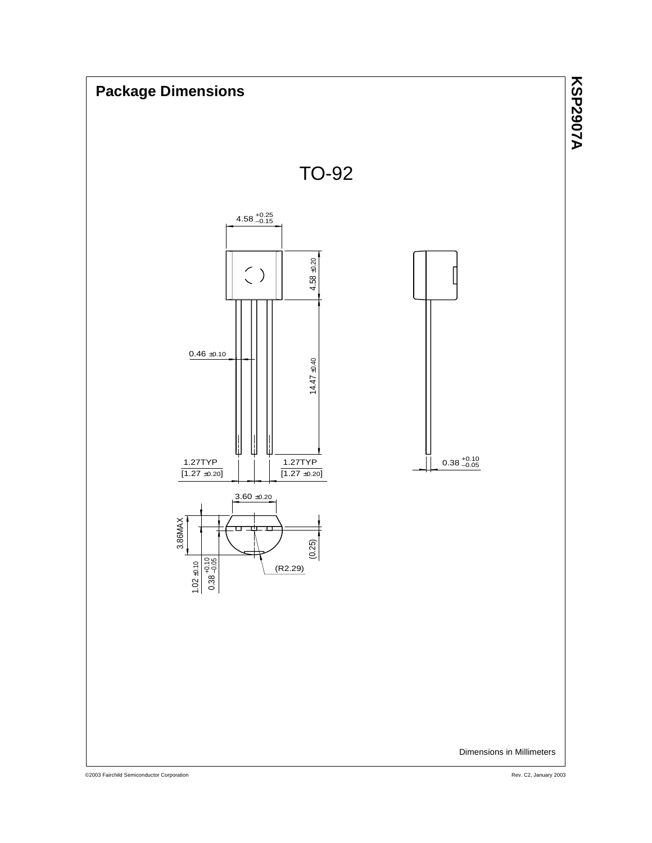